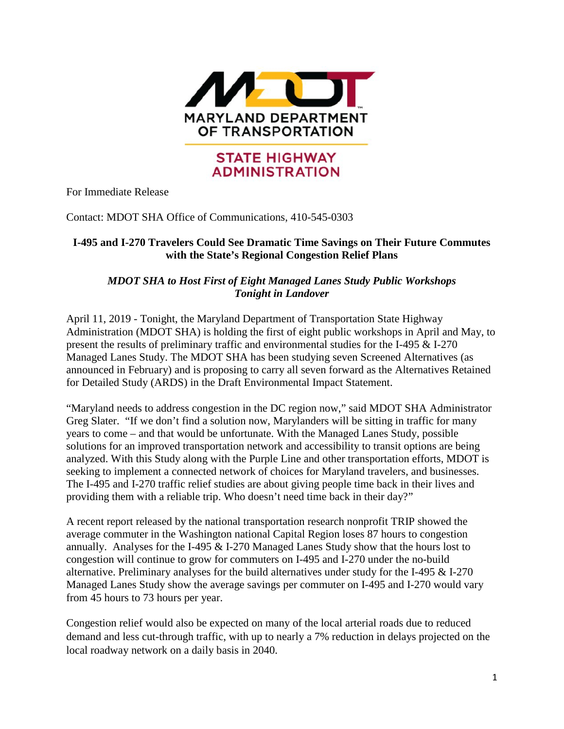

## **STATE HIGHWAY ADMINISTRATION**

For Immediate Release

Contact: MDOT SHA Office of Communications, 410-545-0303

## **I-495 and I-270 Travelers Could See Dramatic Time Savings on Their Future Commutes with the State's Regional Congestion Relief Plans**

## *MDOT SHA to Host First of Eight Managed Lanes Study Public Workshops Tonight in Landover*

April 11, 2019 - Tonight, the Maryland Department of Transportation State Highway Administration (MDOT SHA) is holding the first of eight public workshops in April and May, to present the results of preliminary traffic and environmental studies for the I-495 & I-270 Managed Lanes Study. The MDOT SHA has been studying seven Screened Alternatives (as announced in February) and is proposing to carry all seven forward as the Alternatives Retained for Detailed Study (ARDS) in the Draft Environmental Impact Statement.

"Maryland needs to address congestion in the DC region now," said MDOT SHA Administrator Greg Slater. "If we don't find a solution now, Marylanders will be sitting in traffic for many years to come – and that would be unfortunate. With the Managed Lanes Study, possible solutions for an improved transportation network and accessibility to transit options are being analyzed. With this Study along with the Purple Line and other transportation efforts, MDOT is seeking to implement a connected network of choices for Maryland travelers, and businesses. The I-495 and I-270 traffic relief studies are about giving people time back in their lives and providing them with a reliable trip. Who doesn't need time back in their day?"

A recent report released by the national transportation research nonprofit TRIP showed the average commuter in the Washington national Capital Region loses 87 hours to congestion annually. Analyses for the I-495 & I-270 Managed Lanes Study show that the hours lost to congestion will continue to grow for commuters on I-495 and I-270 under the no-build alternative. Preliminary analyses for the build alternatives under study for the I-495 & I-270 Managed Lanes Study show the average savings per commuter on I-495 and I-270 would vary from 45 hours to 73 hours per year.

Congestion relief would also be expected on many of the local arterial roads due to reduced demand and less cut-through traffic, with up to nearly a 7% reduction in delays projected on the local roadway network on a daily basis in 2040.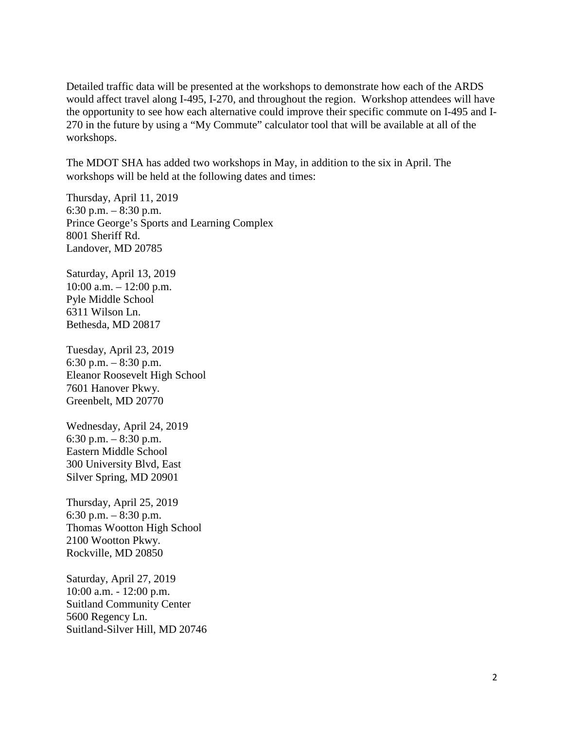Detailed traffic data will be presented at the workshops to demonstrate how each of the ARDS would affect travel along I-495, I-270, and throughout the region. Workshop attendees will have the opportunity to see how each alternative could improve their specific commute on I-495 and I-270 in the future by using a "My Commute" calculator tool that will be available at all of the workshops.

The MDOT SHA has added two workshops in May, in addition to the six in April. The workshops will be held at the following dates and times:

Thursday, April 11, 2019 6:30 p.m.  $-8:30$  p.m. Prince George's Sports and Learning Complex 8001 Sheriff Rd. Landover, MD 20785

Saturday, April 13, 2019 10:00 a.m. – 12:00 p.m. Pyle Middle School 6311 Wilson Ln. Bethesda, MD 20817

Tuesday, April 23, 2019 6:30 p.m.  $-8:30$  p.m. Eleanor Roosevelt High School 7601 Hanover Pkwy. Greenbelt, MD 20770

Wednesday, April 24, 2019 6:30 p.m.  $-8:30$  p.m. Eastern Middle School 300 University Blvd, East Silver Spring, MD 20901

Thursday, April 25, 2019 6:30 p.m. – 8:30 p.m. Thomas Wootton High School 2100 Wootton Pkwy. Rockville, MD 20850

Saturday, April 27, 2019 10:00 a.m. - 12:00 p.m. Suitland Community Center 5600 Regency Ln. Suitland-Silver Hill, MD 20746